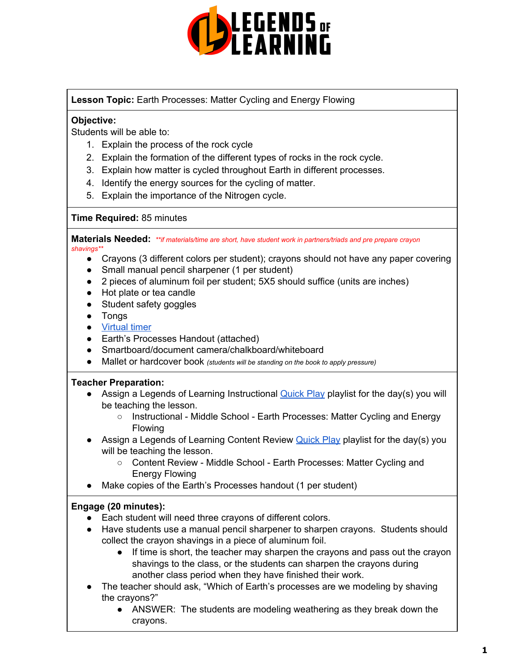

## **Lesson Topic:** Earth Processes: Matter Cycling and Energy Flowing

## **Objective:**

Students will be able to:

- 1. Explain the process of the rock cycle
- 2. Explain the formation of the different types of rocks in the rock cycle.
- 3. Explain how matter is cycled throughout Earth in different processes.
- 4. Identify the energy sources for the cycling of matter.
- 5. Explain the importance of the Nitrogen cycle.

#### **Time Required:** 85 minutes

**Materials Needed:** *\*\*if materials/time are short, have student work in partners/triads and pre prepare crayon shavings\*\**

- Crayons (3 different colors per student); crayons should not have any paper covering
- Small manual pencil sharpener (1 per student)
- 2 pieces of aluminum foil per student; 5X5 should suffice (units are inches)
- Hot plate or tea candle
- Student safety goggles
- Tongs
- [Virtual](http://www.online-stopwatch.com/classroom-timers/) timer
- Earth's Processes Handout (attached)
- Smartboard/document camera/chalkboard/whiteboard
- Mallet or hardcover book *(students will be standing on the book to apply pressure)*

## **Teacher Preparation:**

- Assign a Legends of Learning Instructional [Quick](https://intercom.help/legends-of-learning/en/articles/2701866-assigning-a-quick-play-playlist) Play playlist for the day(s) you will be teaching the lesson.
	- Instructional Middle School Earth Processes: Matter Cycling and Energy Flowing
- Assign a Legends of Learning Content Review [Quick](https://intercom.help/legends-of-learning/en/articles/2701866-assigning-a-quick-play-playlist) Play playlist for the day(s) you will be teaching the lesson.
	- Content Review Middle School Earth Processes: Matter Cycling and Energy Flowing
- Make copies of the Earth's Processes handout (1 per student)

## **Engage (20 minutes):**

- Each student will need three crayons of different colors.
- Have students use a manual pencil sharpener to sharpen crayons. Students should collect the crayon shavings in a piece of aluminum foil.
	- If time is short, the teacher may sharpen the crayons and pass out the crayon shavings to the class, or the students can sharpen the crayons during another class period when they have finished their work.
- The teacher should ask, "Which of Earth's processes are we modeling by shaving the crayons?"
	- ANSWER: The students are modeling weathering as they break down the crayons.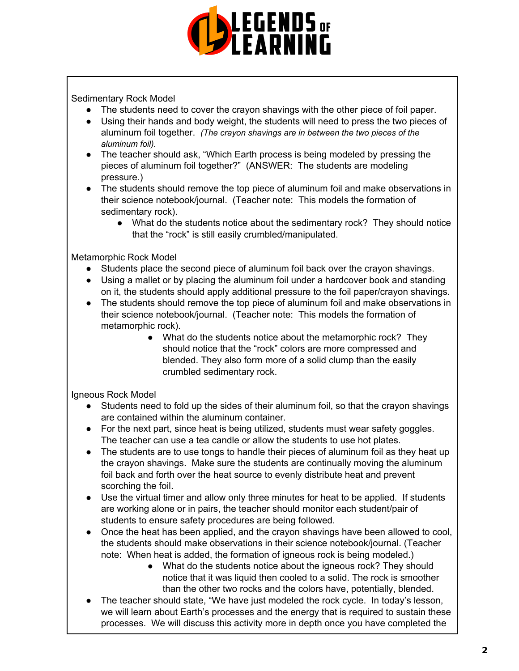

Sedimentary Rock Model

- The students need to cover the crayon shavings with the other piece of foil paper.
- Using their hands and body weight, the students will need to press the two pieces of aluminum foil together. *(The crayon shavings are in between the two pieces of the aluminum foil).*
- The teacher should ask, "Which Earth process is being modeled by pressing the pieces of aluminum foil together?" (ANSWER: The students are modeling pressure.)
- The students should remove the top piece of aluminum foil and make observations in their science notebook/journal. (Teacher note: This models the formation of sedimentary rock).
	- What do the students notice about the sedimentary rock? They should notice that the "rock" is still easily crumbled/manipulated.

Metamorphic Rock Model

- Students place the second piece of aluminum foil back over the crayon shavings.
- Using a mallet or by placing the aluminum foil under a hardcover book and standing on it, the students should apply additional pressure to the foil paper/crayon shavings.
- The students should remove the top piece of aluminum foil and make observations in their science notebook/journal. (Teacher note: This models the formation of metamorphic rock).
	- What do the students notice about the metamorphic rock? They should notice that the "rock" colors are more compressed and blended. They also form more of a solid clump than the easily crumbled sedimentary rock.

Igneous Rock Model

- Students need to fold up the sides of their aluminum foil, so that the crayon shavings are contained within the aluminum container.
- For the next part, since heat is being utilized, students must wear safety goggles. The teacher can use a tea candle or allow the students to use hot plates.
- The students are to use tongs to handle their pieces of aluminum foil as they heat up the crayon shavings. Make sure the students are continually moving the aluminum foil back and forth over the heat source to evenly distribute heat and prevent scorching the foil.
- Use the virtual timer and allow only three minutes for heat to be applied. If students are working alone or in pairs, the teacher should monitor each student/pair of students to ensure safety procedures are being followed.
- Once the heat has been applied, and the crayon shavings have been allowed to cool, the students should make observations in their science notebook/journal. (Teacher note: When heat is added, the formation of igneous rock is being modeled.)
	- What do the students notice about the igneous rock? They should notice that it was liquid then cooled to a solid. The rock is smoother than the other two rocks and the colors have, potentially, blended.
- The teacher should state, "We have just modeled the rock cycle. In today's lesson, we will learn about Earth's processes and the energy that is required to sustain these processes. We will discuss this activity more in depth once you have completed the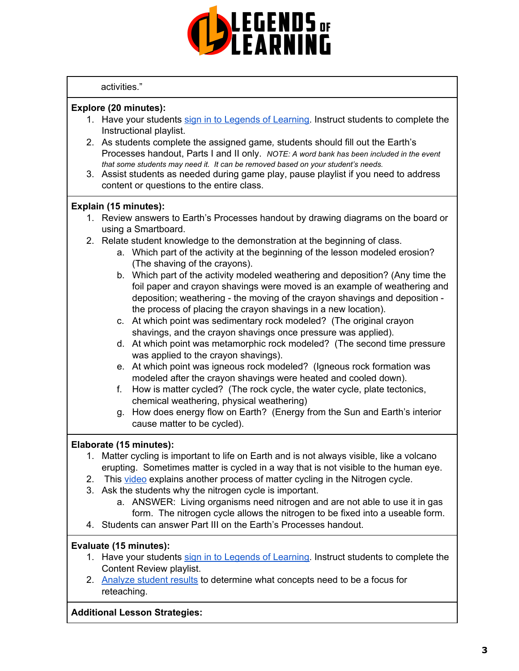

#### activities."

## **Explore (20 minutes):**

- 1. Have your students sign in to Legends of [Learning](https://intercom.help/legends-of-learning/en/articles/2154920-students-joining-a-playlist). Instruct students to complete the Instructional playlist.
- 2. As students complete the assigned game*,* students should fill out the Earth's Processes handout, Parts I and II only. *NOTE: A word bank has been included in the event that some students may need it. It can be removed based on your student's needs.*
- 3. Assist students as needed during game play, pause playlist if you need to address content or questions to the entire class.

## **Explain (15 minutes):**

- 1. Review answers to Earth's Processes handout by drawing diagrams on the board or using a Smartboard.
- 2. Relate student knowledge to the demonstration at the beginning of class.
	- a. Which part of the activity at the beginning of the lesson modeled erosion? (The shaving of the crayons).
	- b. Which part of the activity modeled weathering and deposition? (Any time the foil paper and crayon shavings were moved is an example of weathering and deposition; weathering - the moving of the crayon shavings and deposition the process of placing the crayon shavings in a new location).
	- c. At which point was sedimentary rock modeled? (The original crayon shavings, and the crayon shavings once pressure was applied).
	- d. At which point was metamorphic rock modeled? (The second time pressure was applied to the crayon shavings).
	- e. At which point was igneous rock modeled? (Igneous rock formation was modeled after the crayon shavings were heated and cooled down).
	- f. How is matter cycled? (The rock cycle, the water cycle, plate tectonics, chemical weathering, physical weathering)
	- g. How does energy flow on Earth? (Energy from the Sun and Earth's interior cause matter to be cycled).

# **Elaborate (15 minutes):**

- 1. Matter cycling is important to life on Earth and is not always visible, like a volcano erupting. Sometimes matter is cycled in a way that is not visible to the human eye.
- 2. This [video](https://www.youtube.com/watch?v=xfwZV6rtnvw) explains another process of matter cycling in the Nitrogen cycle.
- 3. Ask the students why the nitrogen cycle is important.
	- a. ANSWER: Living organisms need nitrogen and are not able to use it in gas form. The nitrogen cycle allows the nitrogen to be fixed into a useable form.
- 4. Students can answer Part III on the Earth's Processes handout.

## **Evaluate (15 minutes):**

- 1. Have your students sign in to Legends of [Learning](https://intercom.help/legends-of-learning/en/articles/2154920-students-joining-a-playlist). Instruct students to complete the Content Review playlist.
- 2. [Analyze](https://intercom.help/legends-of-learning/en/articles/2154918-tracking-student-progress-and-performance) student results to determine what concepts need to be a focus for reteaching.

## **Additional Lesson Strategies:**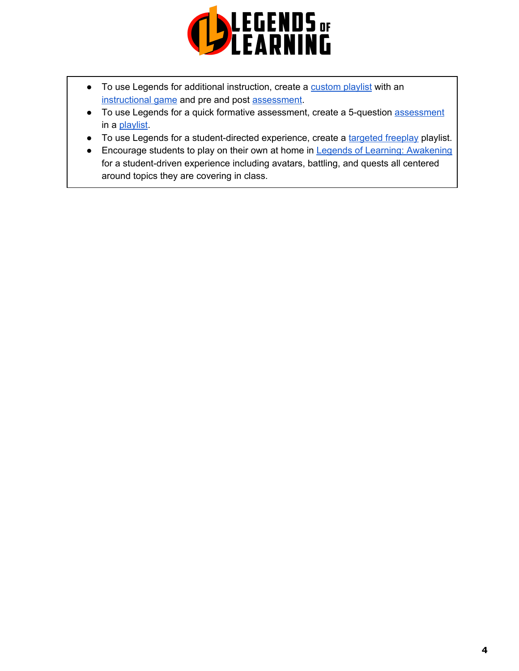

- To use Legends for additional instruction, create a [custom](https://intercom.help/legends-of-learning/en/articles/2154910-creating-a-playlist) playlist with an [instructional](https://intercom.help/legends-of-learning/en/articles/3505828-types-of-games) game and pre and post [assessment](https://intercom.help/legends-of-learning/en/articles/2154913-adding-assessments-to-a-playlist).
- To use Legends for a quick formative [assessment](https://intercom.help/legends-of-learning/en/articles/2154913-adding-assessments-to-a-playlist), create a 5-question assessment in a [playlist](https://intercom.help/legends-of-learning/en/articles/2154910-creating-a-playlist).
- To use Legends for a student-directed experience, create a [targeted](https://intercom.help/legends-of-learning/en/articles/3340814-targeted-freeplay) freeplay playlist.
- Encourage students to play on their own at home in Legends of Learning: [Awakening](https://intercom.help/legends-of-learning/en/articles/2425490-legends-of-learning-awakening) for a student-driven experience including avatars, battling, and quests all centered around topics they are covering in class.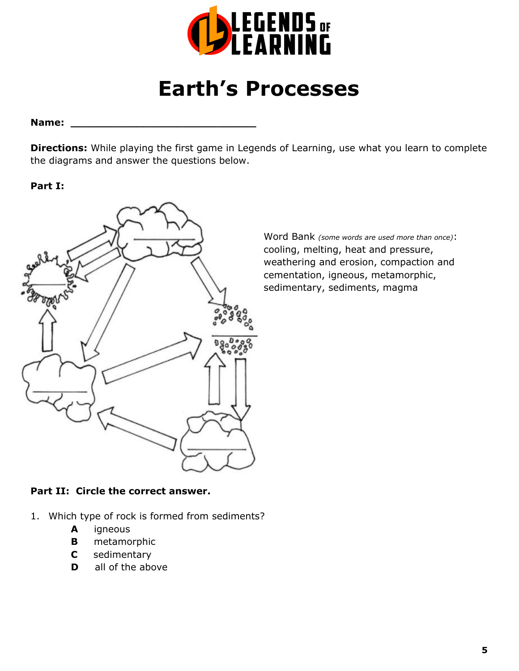

# **Earth's Processes**

#### **Name: \_\_\_\_\_\_\_\_\_\_\_\_\_\_\_\_\_\_\_\_\_\_\_\_\_\_\_\_**

**Directions:** While playing the first game in Legends of Learning, use what you learn to complete the diagrams and answer the questions below.

## **Part I:**



Word Bank *(some words are used more than once)*: cooling, melting, heat and pressure, weathering and erosion, compaction and cementation, igneous, metamorphic, sedimentary, sediments, magma

# **Part II: Circle the correct answer.**

- 1. Which type of rock is formed from sediments?
	- **A** igneous
	- **B** metamorphic
	- **C** sedimentary
	- **D** all of the above